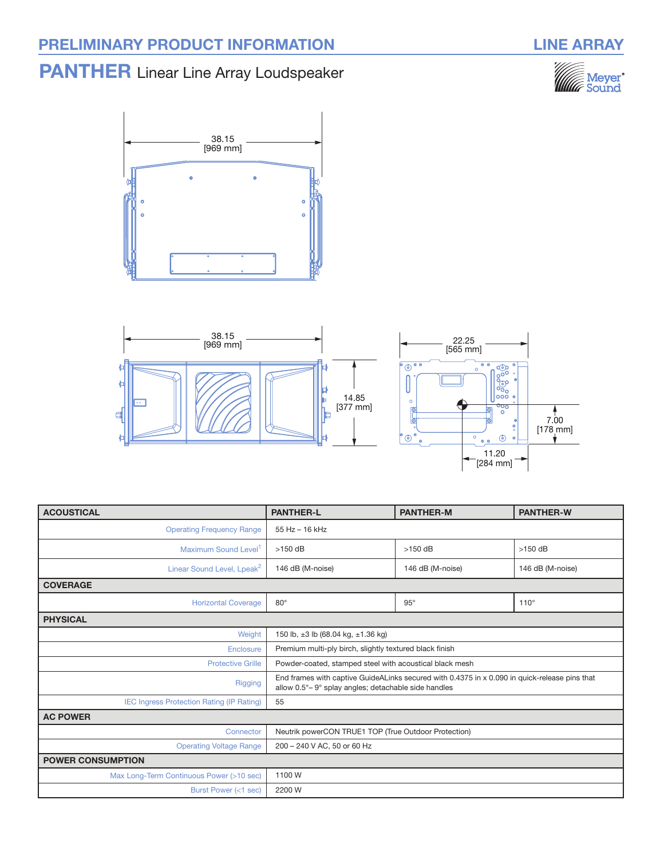## PANTHER Linear Line Array Loudspeaker







| <b>ACOUSTICAL</b>                                | <b>PANTHER-L</b>                                                                                                                                       | <b>PANTHER-M</b> | <b>PANTHER-W</b> |
|--------------------------------------------------|--------------------------------------------------------------------------------------------------------------------------------------------------------|------------------|------------------|
| <b>Operating Frequency Range</b>                 | 55 Hz - 16 kHz                                                                                                                                         |                  |                  |
| Maximum Sound Level <sup>1</sup>                 | $>150$ dB                                                                                                                                              | $>150$ dB        | $>150$ dB        |
| Linear Sound Level, Lpeak <sup>2</sup>           | 146 dB (M-noise)                                                                                                                                       | 146 dB (M-noise) | 146 dB (M-noise) |
| <b>COVERAGE</b>                                  |                                                                                                                                                        |                  |                  |
| <b>Horizontal Coverage</b>                       | $80^\circ$                                                                                                                                             | $95^\circ$       | $110^\circ$      |
| <b>PHYSICAL</b>                                  |                                                                                                                                                        |                  |                  |
| Weight                                           | 150 lb, $\pm 3$ lb (68.04 kg, $\pm 1.36$ kg)                                                                                                           |                  |                  |
| <b>Enclosure</b>                                 | Premium multi-ply birch, slightly textured black finish                                                                                                |                  |                  |
| <b>Protective Grille</b>                         | Powder-coated, stamped steel with acoustical black mesh                                                                                                |                  |                  |
| Rigging                                          | End frames with captive GuideALinks secured with 0.4375 in x 0.090 in quick-release pins that<br>allow 0.5° – 9° splay angles; detachable side handles |                  |                  |
| <b>IEC Ingress Protection Rating (IP Rating)</b> | 55                                                                                                                                                     |                  |                  |
| <b>AC POWER</b>                                  |                                                                                                                                                        |                  |                  |
| Connector                                        | Neutrik powerCON TRUE1 TOP (True Outdoor Protection)                                                                                                   |                  |                  |
| <b>Operating Voltage Range</b>                   | 200 - 240 V AC, 50 or 60 Hz                                                                                                                            |                  |                  |
| <b>POWER CONSUMPTION</b>                         |                                                                                                                                                        |                  |                  |
| Max Long-Term Continuous Power (>10 sec)         | 1100W                                                                                                                                                  |                  |                  |
| Burst Power (<1 sec)                             | 2200 W                                                                                                                                                 |                  |                  |